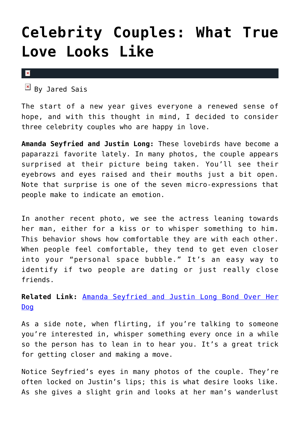## **[Celebrity Couples: What True](https://cupidspulse.com/66711/celebrity-couples-what-true-love-looks-like-amanda-seyfried-justin-long/) [Love Looks Like](https://cupidspulse.com/66711/celebrity-couples-what-true-love-looks-like-amanda-seyfried-justin-long/)**

 $\mathbf x$ 

 $By$  Jared Sais

The start of a new year gives everyone a renewed sense of hope, and with this thought in mind, I decided to consider three celebrity couples who are happy in love.

**Amanda Seyfried and Justin Long:** These lovebirds have become a paparazzi favorite lately. In many photos, the couple appears surprised at their picture being taken. You'll see their eyebrows and eyes raised and their mouths just a bit open. Note that surprise is one of the seven micro-expressions that people make to indicate an emotion.

In another recent photo, we see the actress leaning towards her man, either for a kiss or to whisper something to him. This behavior shows how comfortable they are with each other. When people feel comfortable, they tend to get even closer into your "personal space bubble." It's an easy way to identify if two people are dating or just really close friends.

**Related Link:** [Amanda Seyfried and Justin Long Bond Over Her](http://cupidspulse.com/amanda-seyfried-justin-long-bond-over-dog/) [Dog](http://cupidspulse.com/amanda-seyfried-justin-long-bond-over-dog/)

As a side note, when flirting, if you're talking to someone you're interested in, whisper something every once in a while so the person has to lean in to hear you. It's a great trick for getting closer and making a move.

Notice Seyfried's eyes in many photos of the couple. They're often locked on Justin's lips; this is what desire looks like. As she gives a slight grin and looks at her man's wanderlust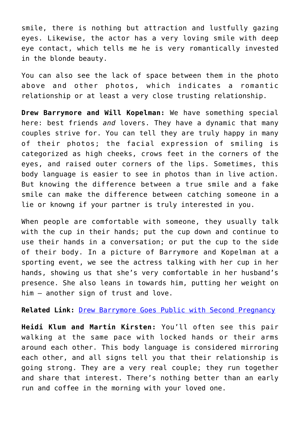smile, there is nothing but attraction and lustfully gazing eyes. Likewise, the actor has a very loving smile with deep eye contact, which tells me he is very romantically invested in the blonde beauty.

You can also see the lack of space between them in the photo above and other photos, which indicates a romantic relationship or at least a very close trusting relationship.

**Drew Barrymore and Will Kopelman:** We have something special here: best friends *and* lovers. They have a dynamic that many couples strive for. You can tell they are truly happy in many of their photos; the facial expression of smiling is categorized as high cheeks, crows feet in the corners of the eyes, and raised outer corners of the lips. Sometimes, this body language is easier to see in photos than in live action. But knowing the difference between a true smile and a fake smile can make the difference between catching someone in a lie or knowng if your partner is truly interested in you.

When people are comfortable with someone, they usually talk with the cup in their hands; put the cup down and continue to use their hands in a conversation; or put the cup to the side of their body. In a picture of Barrymore and Kopelman at a sporting event, we see the actress talking with her cup in her hands, showing us that she's very comfortable in her husband's presence. She also leans in towards him, putting her weight on him — another sign of trust and love.

**Related Link:** [Drew Barrymore Goes Public with Second Pregnancy](http://cupidspulse.com/drew-barrymore-public-second-pregnancy/)

**Heidi Klum and Martin Kirsten:** You'll often see this pair walking at the same pace with locked hands or their arms around each other. This body language is considered mirroring each other, and all signs tell you that their relationship is going strong. They are a very real couple; they run together and share that interest. There's nothing better than an early run and coffee in the morning with your loved one.